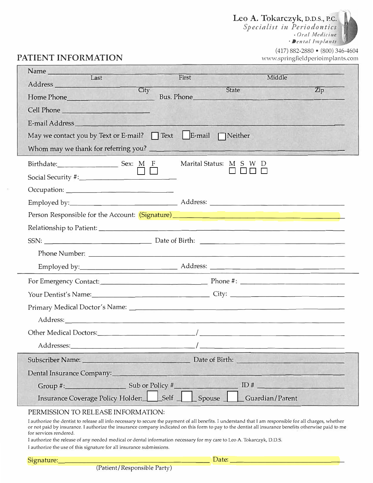Leo A. Tokarczyk, D.D.S., P.C.

*Specialist in Periodontics*  • *Orn! Medicine* · *Denrnl Implants*



# **PATIENT INFORMATION**

(417) 882-2880 • (800) 346-4604 www.springfieldperioimplants.com

| Name<br>Last<br>First<br>Middle                                                                                                                                                                                                                                |
|----------------------------------------------------------------------------------------------------------------------------------------------------------------------------------------------------------------------------------------------------------------|
| City<br>$\overline{Zip}$<br>State                                                                                                                                                                                                                              |
| Bus. Phone<br>Home Phone                                                                                                                                                                                                                                       |
| Cell Phone                                                                                                                                                                                                                                                     |
| E-mail Address North American Section 1988                                                                                                                                                                                                                     |
| May we contact you by Text or E-mail? $\Box$ Text $\Box$ E-mail $\Box$ Neither                                                                                                                                                                                 |
|                                                                                                                                                                                                                                                                |
| Marital Status: M S W D<br>Birthdate: Sex: $M$ F                                                                                                                                                                                                               |
|                                                                                                                                                                                                                                                                |
|                                                                                                                                                                                                                                                                |
|                                                                                                                                                                                                                                                                |
|                                                                                                                                                                                                                                                                |
|                                                                                                                                                                                                                                                                |
|                                                                                                                                                                                                                                                                |
|                                                                                                                                                                                                                                                                |
|                                                                                                                                                                                                                                                                |
|                                                                                                                                                                                                                                                                |
|                                                                                                                                                                                                                                                                |
|                                                                                                                                                                                                                                                                |
| Address: Andreas Address: Address: Address: Address: Address: Address: Address: Address: Address: Address: Address: Address: Address: Address: Address: Address: Address: Address: Address: Address: Address: Address: Address                                 |
|                                                                                                                                                                                                                                                                |
| Addresses: Notes and the set of the set of the set of the set of the set of the set of the set of the set of the set of the set of the set of the set of the set of the set of the set of the set of the set of the set of the                                 |
| Date of Birth: New York 1997<br>Subscriber Name: Name and Subscriber Name and Subscriber Name and Subscriber Name and Subscriber of the Subscriber of the Subscriber of the Subscriber of the Subscriber of the Subscriber of the Subscriber of the Subscriber |
| Dental Insurance Company:___                                                                                                                                                                                                                                   |
| Group #: Sub or Policy #<br>ID#                                                                                                                                                                                                                                |
| Insurance Coverage Policy Holder: Self<br>Spouse<br>Guardian/Parent                                                                                                                                                                                            |

### PERMISSION TO RELEASE INFORMATION:

<sup>l</sup> authorize the dentist to release all info necessary to secure the payment of all benefits. I understand that lam responsible for all charges, whether or not paid by insurance. l authorize the insurance company indicated on this form to pay to the dentist all insurance benefits otherwise paid to me for services rendered.

I authorize the release of any needed medical or dental information necessary for my care to Leo A. Tokarczyk, 0.0.5. I authorize the use of this signature for all insurance submissions.

(Patient/Responsible Party)

Signature: \_\_\_\_\_\_\_\_\_\_\_\_\_\_\_\_\_\_\_\_\_ Date: \_\_\_\_\_\_\_\_\_\_\_\_\_\_\_ \_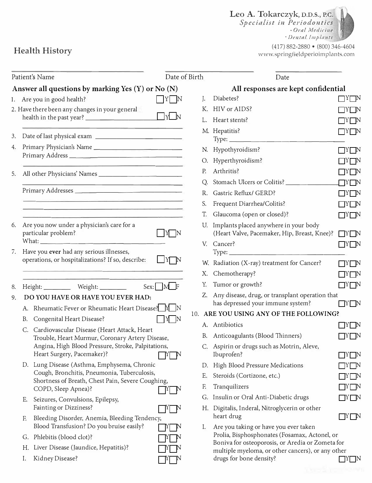Leo A. Tokarczyk, D.D.S., P.C.

*Specialist in Periodontics*  • *Ornl Medicine*

· *Dental !111plnnts*

(417) 882-2880 • (800) 346-4604 www.springfieldperioimplants.com

|    |    | Patient's Name                                                                                | Date of Birth                        |                | Date                                                                                     |                   |
|----|----|-----------------------------------------------------------------------------------------------|--------------------------------------|----------------|------------------------------------------------------------------------------------------|-------------------|
|    |    | Answer all questions by marking Yes $(Y)$ or No $(N)$                                         |                                      |                | All responses are kept confidential                                                      |                   |
|    |    | 1. Are you in good health?                                                                    | Y N                                  | $\mathbf{I}$ . | Diabetes?                                                                                | $\Box$ Y $\Box$ N |
|    |    | 2. Have there been any changes in your general                                                |                                      |                | K. HIV or AIDS?                                                                          | IYI N             |
|    |    |                                                                                               | $\Box_Y \Box_N$                      |                | Heart stents?                                                                            | IY N              |
|    |    | and the property of the control of the control of the control of the control of               |                                      |                | M. Hepatitis?                                                                            | $\prod Y \prod N$ |
| 3. |    | Date of last physical exam ____________________                                               |                                      |                | $Type: \_\_\_\_\_\_\_\_\_\_\_\_\_\_\_\_\_\_$                                             |                   |
| 4. |    |                                                                                               |                                      |                | N. Hypothyroidism?                                                                       | $\Box$ y $\Box$ n |
|    |    |                                                                                               |                                      |                | O. Hyperthyroidism?                                                                      | I Y N             |
| 5. |    |                                                                                               |                                      | P.             | Arthritis?                                                                               | $\Box$ Y $\Box$ N |
|    |    | <u> 1989 - Andrea Britain, amerikansk politik (</u>                                           |                                      |                | Q. Stomach Ulcers or Colitis? _______                                                    | $\Box Y \Box N$   |
|    |    | <u> 1980 - Antonio Alemania, američki profesor († 1901)</u>                                   |                                      |                | R. Gastric Reflux/ GERD?                                                                 | $\Box$ Y $\Box$ N |
|    |    |                                                                                               |                                      | S.             | Frequent Diarrhea/Colitis?                                                               | TYE N             |
|    |    | <u> 1980 - Antonio Alemania (h. 1980).</u>                                                    |                                      | T.             | Glaucoma (open or closed)?                                                               | $\Box$ Y $\Box$ N |
| 6. |    | Are you now under a physician's care for a<br>particular problem?                             | $\parallel$ Y $\parallel$ N          |                | U. Implants placed anywhere in your body<br>(Heart Valve, Pacemaker, Hip, Breast, Knee)? | $\Box Y \Box N$   |
|    |    |                                                                                               |                                      |                | V. Cancer?                                                                               | $\Box Y \Box N$   |
| 7. |    | Have you ever had any serious illnesses,<br>operations, or hospitalizations? If so, describe: | $\Box Y \Box N$                      |                |                                                                                          |                   |
|    |    |                                                                                               |                                      |                | W. Radiation (X-ray) treatment for Cancer?                                               | I YEN             |
|    |    |                                                                                               |                                      |                | X. Chemotherapy?                                                                         | IY N              |
| 8. |    | Height: ____________ Weight: _________                                                        | $Sex: \blacksquare M \blacksquare F$ | Υ.             | Tumor or growth?                                                                         | $\Box Y \Box N$   |
| 9. |    | DO YOU HAVE OR HAVE YOU EVER HAD:                                                             |                                      |                | Z. Any disease, drug, or transplant operation that<br>has depressed your immune system?  |                   |
|    |    | A. Rheumatic Fever or Rheumatic Heart Disease? M N                                            |                                      |                | 10. ARE YOU USING ANY OF THE FOLLOWING?                                                  | $\Box^Y\Box^N$    |
|    |    | B. Congenital Heart Disease?                                                                  | Y N                                  |                | A. Antibiotics                                                                           |                   |
|    |    | C. Cardiovascular Disease (Heart Attack, Heart                                                |                                      |                |                                                                                          | IYI IN            |
|    |    | Trouble, Heart Murmur, Coronary Artery Disease,                                               |                                      |                | B. Anticoagulants (Blood Thinners)                                                       |                   |
|    |    | Angina, High Blood Pressure, Stroke, Palpitations,<br>Heart Surgery, Pacemaker)?              | Y N                                  |                | C. Aspirin or drugs such as Motrin, Aleve,<br>Ibuprofen?                                 | $\Box$ Y $\Box$ N |
|    |    | D. Lung Disease (Asthma, Emphysema, Chronic                                                   |                                      |                | D. High Blood Pressure Medications                                                       | $\Box$ Y $\Box$ N |
|    |    | Cough, Bronchitis, Pneumonia, Tuberculosis,                                                   |                                      | Е.             | Steroids (Cortizone, etc.)                                                               | $\Box Y\Box N$    |
|    |    | Shortness of Breath, Chest Pain, Severe Coughing,<br>COPD, Sleep Apnea)?                      |                                      | F.             | Tranquilizers                                                                            | $\Box$ Y $\Box$ N |
|    |    |                                                                                               | $ Y $ N                              | G.             | Insulin or Oral Anti-Diabetic drugs                                                      | $\Box Y \Box N$   |
|    | E. | Seizures, Convulsions, Epilepsy,<br>Fainting or Dizziness?                                    |                                      |                | H. Digitalis, Inderal, Nitroglycerin or other<br>heart drug                              |                   |
|    | F. | Bleeding Disorder, Anemia, Bleeding Tendency,<br>Blood Transfusion? Do you bruise easily?     |                                      |                |                                                                                          | $\Box^Y\Box^N$    |
|    |    | G. Phlebitis (blood clot)?                                                                    | <b>I</b> N                           | Ι.             | Are you taking or have you ever taken<br>Prolia, Bisphosphonates (Fosamax, Actonel, or   |                   |
|    | Н. | Liver Disease (Jaundice, Hepatitis)?                                                          |                                      |                | Boniva for osteoporosis, or Aredia or Zometa for                                         |                   |
|    | Ι. | Kidney Disease?                                                                               |                                      |                | multiple myeloma, or other cancers), or any other<br>drugs for bone density?             |                   |
|    |    |                                                                                               |                                      |                |                                                                                          | $\Box$ Y $\Box$ N |

Health History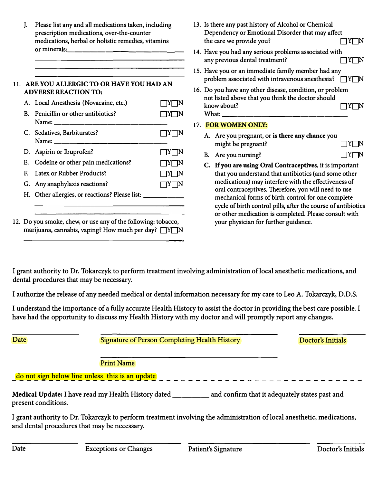$\mathbf{L}$ . Please list any and all medications taken, including prescription medications, over-the-counter medications, herbal or holistic remedies, vitamins or minerals:

#### **11. ARE YOU ALLERGIC TO OR HAVE YOU HAD AN ADVERSE REACTION TO:**

| A. Local Anesthesia (Novacaine, etc.)              | TY∏N              |
|----------------------------------------------------|-------------------|
| B. Penicillin or other antibiotics?                | $ Y $ $ N$        |
| C. Sedatives, Barbiturates?<br>Name: $\sqrt{2\pi}$ | $\Box$ Y $\Box$ N |
| D. Aspirin or Ibuprofen?                           | $\Box Y \Box N$   |
| E. Codeine or other pain medications?              | $\Box Y \Box N$   |
| F. Latex or Rubber Products?                       | $\Box$ Y $\Box$ N |
| G. Any anaphylaxis reactions?                      | 1Y⊟N              |
| H. Other allergies, or reactions? Please list:     |                   |
|                                                    |                   |

12. Do you smoke, chew, or use any of the following: tobacco, marijuana, cannabis, vaping? How much per day?  $\Box Y \Box N$ 

- 13. Is there any past history of Alcohol or Chemical Dependency or Emotional Disorder that may affect the care we provide you? Y N
- 14. Have you had any serious problems associated with any previous dental treatment?  $\Box$   $Y \Box N$
- 15. Have you or an immediate family member had any problem associated with intravenous anesthesia?  $\Box Y \Box N$
- 16. Do you have any other disease, condition, or problem not listed above that you think the doctor should know about?  $\Box Y \Box N$ What:

## 17. **FOR WOMEN ONLY:**

- A. Are you pregnant, or **is there any chance** you might be pregnant?  $\Box$  Y N
- B. Are you nursing?  $\Box$   $Y\Box N$
- **C.** If **you are using Oral Contraceptives,** it is important that you understand that antibiotics (and some other medications) may interfere with the effectiveness of oral contraceptives. Therefore, you will need to use mechanical forms of birth control for one complete cycle of birth control pills, after the course of antibiotics or other medication is completed. Please consult with your physician for further guidance.

**I grant authority to Dr. Tokarczyk to perform treatment involving administration of local anesthetic medications, and dental procedures that may be necessary.** 

**I authorize the release of any needed medical or dental information necessary for my care to Leo A. Tokarczyk, D.D.S.** 

**I understand the importance of a fully accurate Health History to assist the doctor in providing the best care possible. I have had the opportunity to discuss my Health History with my doctor and will promptly report any changes.** 

**Date Signature of Person Completing Health History Doctor's Initials** 

**Print Name** 

**do not sign below line unless this is an update** 

Medical Update: I have read my Health History dated \_\_\_\_\_\_\_ and confirm that it adequately states past and **present conditions.** 

**I grant authority to Dr. Tokarczyk to perform treatment involving the administration of local anesthetic, medications, and dental procedures that may be necessary.**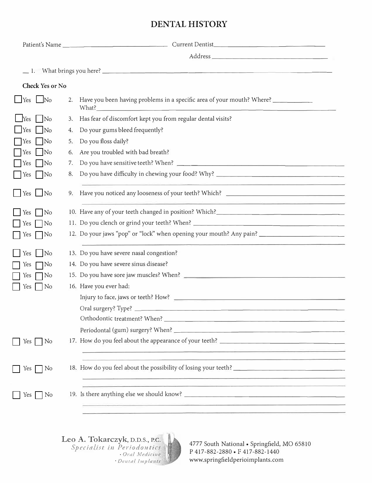# **DENTAL HISTORY**

|                                      |    | Patient's Name                                                                                                        |
|--------------------------------------|----|-----------------------------------------------------------------------------------------------------------------------|
|                                      |    |                                                                                                                       |
|                                      |    |                                                                                                                       |
| Check Yes or No                      |    |                                                                                                                       |
|                                      |    |                                                                                                                       |
| $Yes$ No                             | 2. | Have you been having problems in a specific area of your mouth? Where?                                                |
| Yes<br>$\overline{\rm No}$           | 3. | Has fear of discomfort kept you from regular dental visits?                                                           |
| $\overline{\phantom{a}}$ Yes<br>No   | 4. | Do your gums bleed frequently?                                                                                        |
| <b>Yes</b><br>No                     | 5. | Do you floss daily?                                                                                                   |
| $\vert$ Yes $\vert$ No               | 6. | Are you troubled with bad breath?                                                                                     |
| <b>Yes</b><br><b>No</b>              | 7. |                                                                                                                       |
| Yes No                               | 8. |                                                                                                                       |
| $\blacksquare$ Yes $\blacksquare$ No | 9. | <u> 1990 - Carl Maria Barat, amerikan mengang pada salah salah salah bagi dalam bagi dalam bagi dalam bagi dalam </u> |
| Yes<br>No                            |    |                                                                                                                       |
| Yes<br>N <sub>0</sub>                |    | 11. Do you clench or grind your teeth? When? ___________________________________                                      |
| Yes [<br>No                          |    | 12. Do your jaws "pop" or "lock" when opening your mouth? Any pain? ________________________________                  |
| $Yes$ No                             |    | 13. Do you have severe nasal congestion?                                                                              |
| Yes<br>No                            |    | 14. Do you have severe sinus disease?                                                                                 |
| Yes<br>No                            |    |                                                                                                                       |
| Yes<br>N <sub>o</sub>                |    | 16. Have you ever had:                                                                                                |
|                                      |    |                                                                                                                       |
|                                      |    | Oral surgery? Type?                                                                                                   |
|                                      |    |                                                                                                                       |
|                                      |    |                                                                                                                       |
| Yes No                               |    |                                                                                                                       |
|                                      |    | <u> 1989 - Johann John Stone, mensk politik en og senere og senere og senere og senere og senere og senere og s</u>   |
| No<br>Yes                            |    |                                                                                                                       |
|                                      |    | <u> 1980 - De Brazilia e Santa Carlos de Santa Carlos de Santa Carlos de Santa Carlos de Santa Carlos de Santa C</u>  |
| No<br>$Yes \mid$                     |    |                                                                                                                       |
|                                      |    | <u> 1980 - Jan Berlin, amerikan berlindar (h. 1980).</u>                                                              |



4777 South National• Springfield, MO 65810 P 417-882-2880 • F 417-882-1440 www.springfieldperioimplants.com